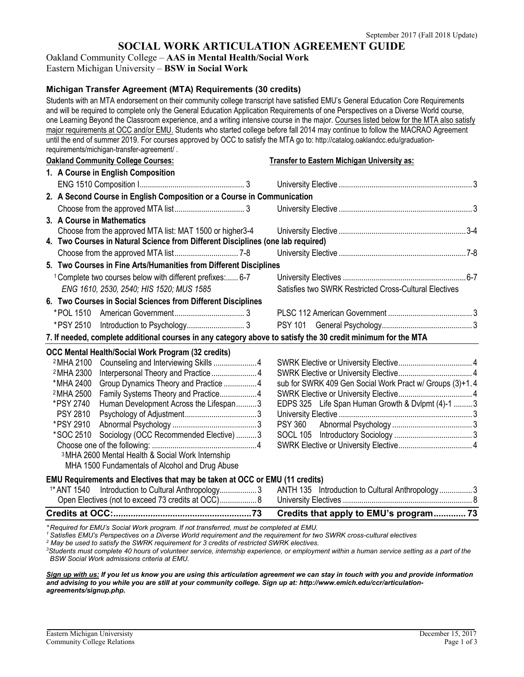# **SOCIAL WORK ARTICULATION AGREEMENT GUIDE**

Oakland Community College – **AAS in Mental Health/Social Work**

Eastern Michigan University – **BSW in Social Work**

# **Michigan Transfer Agreement (MTA) Requirements (30 credits)**

Students with an MTA endorsement on their community college transcript have satisfied EMU's General Education Core Requirements and will be required to complete only the General Education Application Requirements of one Perspectives on a Diverse World course, one Learning Beyond the Classroom experience, and a writing intensive course in the major. Courses listed below for the MTA also satisfy major requirements at OCC and/or EMU. Students who started college before fall 2014 may continue to follow the MACRAO Agreement until the end of summer 2019. For courses approved by OCC to satisfy the MTA go to: http://catalog.oaklandcc.edu/graduationrequirements/michigan-transfer-agreement/ . **Oakland Community College Courses: Transfer to Eastern Michigan University as: 1. A Course in English Composition** ENG 1510 Composition I................................................... 3 University Elective ................................................................. 3 **2. A Second Course in English Composition or a Course in Communication** Choose from the approved MTA list.................................. 3 University Elective ................................................................. 3 **3. A Course in Mathematics** Choose from the approved MTA list: MAT 1500 or higher3-4 University Elective ..............................................................3-4 **4. Two Courses in Natural Science from Different Disciplines (one lab required)** Choose from the approved MTA list............................... 7-8 University Elective ..............................................................7-8 **5. Two Courses in Fine Arts/Humanities from Different Disciplines** 1Complete two courses below with different prefixes:...... 6-7 University Electives ............................................................6-7 *ENG 1610, 2530, 2540; HIS 1520; MUS 1585* Satisfies two SWRK Restricted Cross-Cultural Electives **6. Two Courses in Social Sciences from Different Disciplines** \*POL 1510 American Government.................................. 3 PLSC 112 American Government ......................................... 3 \*PSY 2510 Introduction to Psychology............................ 3 PSY 101 General Psychology............................................ 3 **7. If needed, complete additional courses in any category above to satisfy the 30 credit minimum for the MTA OCC Mental Health/Social Work Program (32 credits)** 2MHA 2100 Counseling and Interviewing Skills .....................4 SWRK Elective or University Elective.................................... 4 2MHA 2300 Interpersonal Theory and Practice...................... 4 SWRK Elective or University Elective.................................... 4 \*MHA 2400 Group Dynamics Theory and Practice ................4 sub for SWRK 409 Gen Social Work Pract w/ Groups (3)+1.4 2MHA 2500 Family Systems Theory and Practice..................4 SWRK Elective or University Elective.................................... 4 \*PSY 2740 Human Development Across the Lifespan..........3 EDPS 325 Life Span Human Growth & Dvlpmt (4)-1 ......... 3 PSY 2810 Psychology of Adjustment...................................3 University Elective ................................................................. 3 \*PSY 2910 Abnormal Psychology .........................................3 PSY 360 Abnormal Psychology ....................................... 3 \*SOC 2510 Sociology (OCC Recommended Elective) ..........3 SOCL 105 Introductory Sociology ...................................... 3 Choose one of the following: ...................................................4 SWRK Elective or University Elective.................................... 4 3MHA 2600 Mental Health & Social Work Internship MHA 1500 Fundamentals of Alcohol and Drug Abuse **EMU Requirements and Electives that may be taken at OCC or EMU (11 credits)** 1\*ANT 1540 Introduction to Cultural Anthropology.................. 3 ANTH 135 Introduction to Cultural Anthropology................ 3 Open Electives (not to exceed 73 credits at OCC).................. 8 University Electives ............................................................... 8

# **Credits at OCC:........................................................73 Credits that apply to EMU's program............. 73**

*\* Required for EMU's Social Work program. If not transferred, must be completed at EMU.*

*<sup>1</sup> Satisfies EMU's Perspectives on a Diverse World requirement and the requirement for two SWRK cross-cultural electives*

*<sup>2</sup> May be used to satisfy the SWRK requirement for 3 credits of restricted SWRK electives.*

*3 Students must complete 40 hours of volunteer service, internship experience, or employment within a human service setting as a part of the BSW Social Work admissions criteria at EMU.* 

*Sign up with us: If you let us know you are using this articulation agreement we can stay in touch with you and provide information and advising to you while you are still at your community college. Sign up at: http://www.emich.edu/ccr/articulationagreements/signup.php.*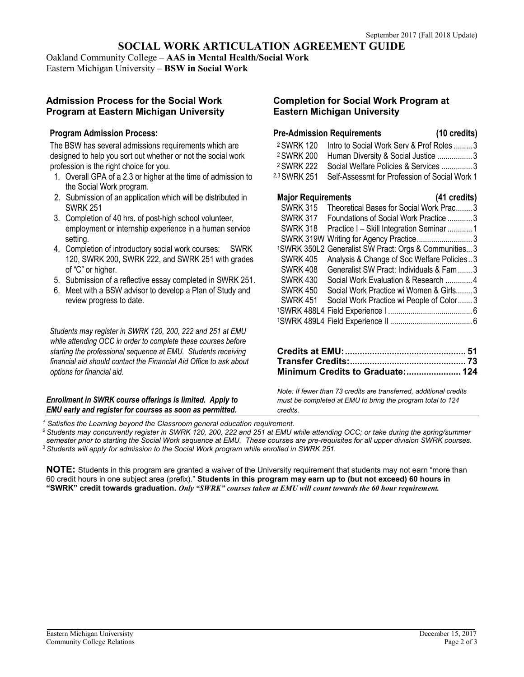**SOCIAL WORK ARTICULATION AGREEMENT GUIDE**

Oakland Community College – **AAS in Mental Health/Social Work**

Eastern Michigan University – **BSW in Social Work**

# **Admission Process for the Social Work Completion for Social Work Program at Program at Eastern Michigan University Eastern Michigan University**

## **Program Admission Process:**

The BSW has several admissions requirements which are designed to help you sort out whether or not the social work profession is the right choice for you.

- 1. Overall GPA of a 2.3 or higher at the time of admission to  $2.3$  SWRK 251 Self-Assessmt for Profession of the Social Work program.
- 2. Submission of an application which will be distributed in
- 3. Completion of 40 hrs. of post-high school volunteer, employment or internship experience in a human service
- 4. Completion of introductory social work courses: SWRK 120, SWRK 200, SWRK 222, and SWRK 251 with grades of "C" or higher.
- 5. Submission of a reflective essay completed in SWRK 251.
- 6. Meet with a BSW advisor to develop a Plan of Study and review progress to date.

*Students may register in SWRK 120, 200, 222 and 251 at EMU while attending OCC in order to complete these courses before* **starting the professional sequence at EMU. Students receiving**  $f$ inancial aid should contact the Financial Aid Office to ask about  $options for financial aid.$ 

#### *Enrollment in SWRK course offerings is limited. Apply to must be completed at EMU to bring the program total to 124 EMU early and register for courses as soon as permitted. credits.*

|            | <b>Pre-Admission Requirements</b>                               | (10 credits) |
|------------|-----------------------------------------------------------------|--------------|
|            | <sup>2</sup> SWRK 120 Intro to Social Work Serv & Prof Roles  3 |              |
| 2 SWRK 200 | Human Diversity & Social Justice 3                              |              |
| 2 SWRK 222 | Social Welfare Policies & Services  3                           |              |
|            | 33 SWRK 251  Self-Assessmt for Profession of Social Work 1      |              |

| Submission of an application which will be distributed in | <b>Major Requirements</b> | $(41 \text{ credits})$                                            |
|-----------------------------------------------------------|---------------------------|-------------------------------------------------------------------|
| <b>SWRK 251</b>                                           |                           | SWRK 315 Theoretical Bases for Social Work Prac 3                 |
| Completion of 40 hrs. of post-high school volunteer,      | <b>SWRK 317</b>           | Foundations of Social Work Practice 3                             |
| employment or internship experience in a human service    |                           | SWRK 318 Practice I - Skill Integration Seminar 1                 |
| setting.                                                  |                           | SWRK 319W Writing for Agency Practice3                            |
| Completion of introductory social work courses: SWRK      |                           | <sup>1</sup> SWRK 350L2 Generalist SW Pract: Orgs & Communities 3 |
| 120, SWRK 200, SWRK 222, and SWRK 251 with grades         | <b>SWRK 405</b>           | Analysis & Change of Soc Welfare Policies3                        |
| of "C" or higher.                                         | <b>SWRK 408</b>           | Generalist SW Pract: Individuals & Fam  3                         |
| Submission of a reflective essay completed in SWRK 251.   | <b>SWRK 430</b>           | Social Work Evaluation & Research  4                              |
| Meet with a BSW advisor to develop a Plan of Study and    | <b>SWRK 450</b>           | Social Work Practice wi Women & Girls 3                           |
| review progress to date.                                  | <b>SWRK 451</b>           | Social Work Practice wi People of Color3                          |
|                                                           |                           |                                                                   |
|                                                           |                           |                                                                   |

| Minimum Credits to Graduate: 124 |  |
|----------------------------------|--|

*Note: If fewer than 73 credits are transferred, additional credits* 

*<sup>1</sup> Satisfies the Learning beyond the Classroom general education requirement.*

*<sup>2</sup> Students may concurrently register in SWRK 120, 200, 222 and 251 at EMU while attending OCC; or take during the spring/summer semester prior to starting the Social Work sequence at EMU. These courses are pre-requisites for all upper division SWRK courses. <sup>3</sup> Students will apply for admission to the Social Work program while enrolled in SWRK 251.*

**NOTE:** Students in this program are granted a waiver of the University requirement that students may not earn "more than 60 credit hours in one subject area (prefix)." **Students in this program may earn up to (but not exceed) 60 hours in** "SWRK" credit towards graduation. Only "SWRK" courses taken at EMU will count towards the 60 hour requirement.